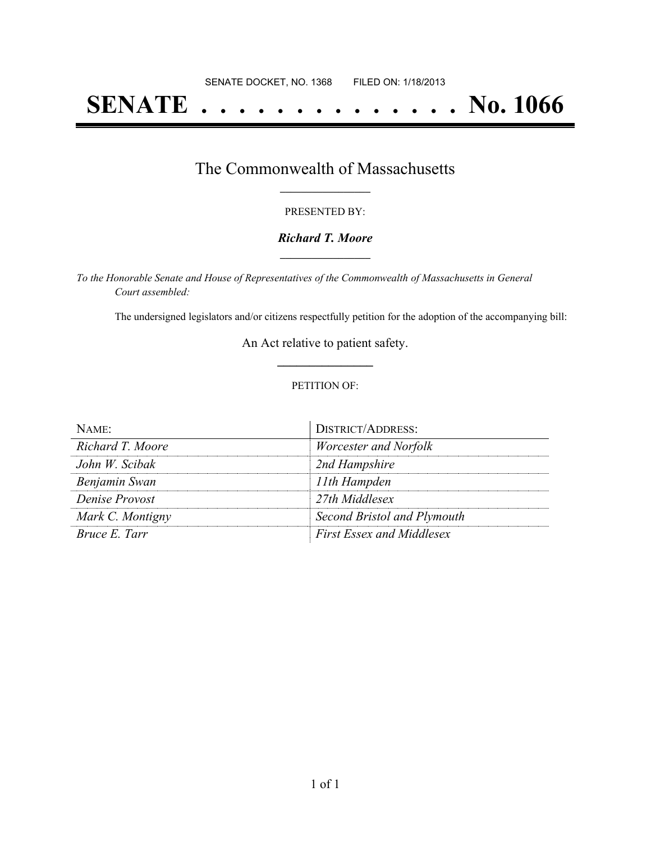# **SENATE . . . . . . . . . . . . . . No. 1066**

## The Commonwealth of Massachusetts **\_\_\_\_\_\_\_\_\_\_\_\_\_\_\_\_\_**

#### PRESENTED BY:

#### *Richard T. Moore* **\_\_\_\_\_\_\_\_\_\_\_\_\_\_\_\_\_**

*To the Honorable Senate and House of Representatives of the Commonwealth of Massachusetts in General Court assembled:*

The undersigned legislators and/or citizens respectfully petition for the adoption of the accompanying bill:

An Act relative to patient safety. **\_\_\_\_\_\_\_\_\_\_\_\_\_\_\_**

#### PETITION OF:

| NAME                 | <b>DISTRICT/ADDRESS:</b>         |
|----------------------|----------------------------------|
| Richard T. Moore     | Worcester and Norfolk            |
| John W. Scibak       | 2nd Hampshire                    |
| Benjamin Swan        | 11th Hampden                     |
| Denise Provost       | 27th Middlesex                   |
| Mark C. Montigny     | Second Bristol and Plymouth      |
| <i>Bruce E. Tarr</i> | <b>First Essex and Middlesex</b> |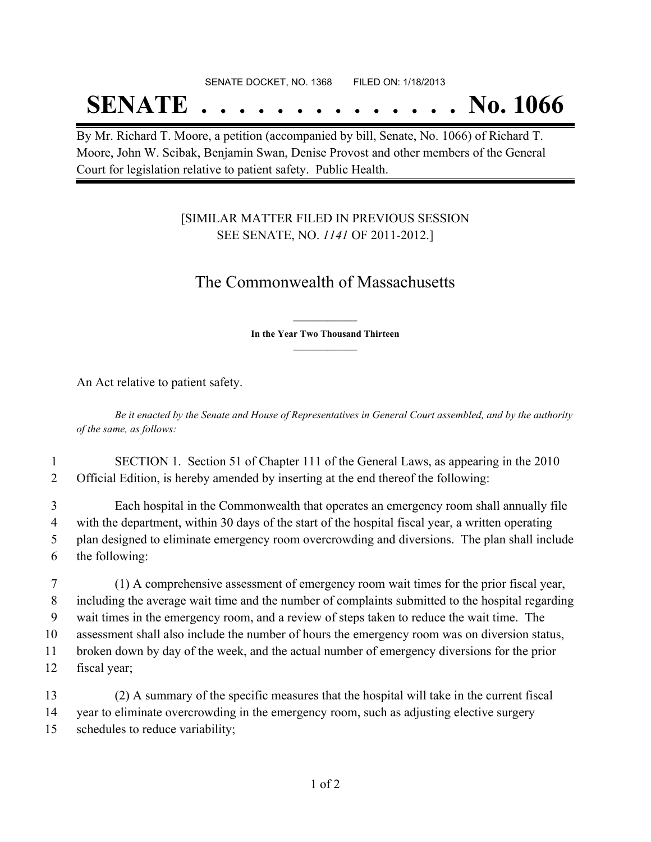#### SENATE DOCKET, NO. 1368 FILED ON: 1/18/2013

## **SENATE . . . . . . . . . . . . . . No. 1066**

By Mr. Richard T. Moore, a petition (accompanied by bill, Senate, No. 1066) of Richard T. Moore, John W. Scibak, Benjamin Swan, Denise Provost and other members of the General Court for legislation relative to patient safety. Public Health.

### [SIMILAR MATTER FILED IN PREVIOUS SESSION SEE SENATE, NO. *1141* OF 2011-2012.]

## The Commonwealth of Massachusetts

**\_\_\_\_\_\_\_\_\_\_\_\_\_\_\_ In the Year Two Thousand Thirteen \_\_\_\_\_\_\_\_\_\_\_\_\_\_\_**

An Act relative to patient safety.

Be it enacted by the Senate and House of Representatives in General Court assembled, and by the authority *of the same, as follows:*

1 SECTION 1. Section 51 of Chapter 111 of the General Laws, as appearing in the 2010 2 Official Edition, is hereby amended by inserting at the end thereof the following:

 Each hospital in the Commonwealth that operates an emergency room shall annually file with the department, within 30 days of the start of the hospital fiscal year, a written operating plan designed to eliminate emergency room overcrowding and diversions. The plan shall include the following:

 (1) A comprehensive assessment of emergency room wait times for the prior fiscal year, including the average wait time and the number of complaints submitted to the hospital regarding wait times in the emergency room, and a review of steps taken to reduce the wait time. The assessment shall also include the number of hours the emergency room was on diversion status, broken down by day of the week, and the actual number of emergency diversions for the prior fiscal year;

13 (2) A summary of the specific measures that the hospital will take in the current fiscal 14 year to eliminate overcrowding in the emergency room, such as adjusting elective surgery 15 schedules to reduce variability;